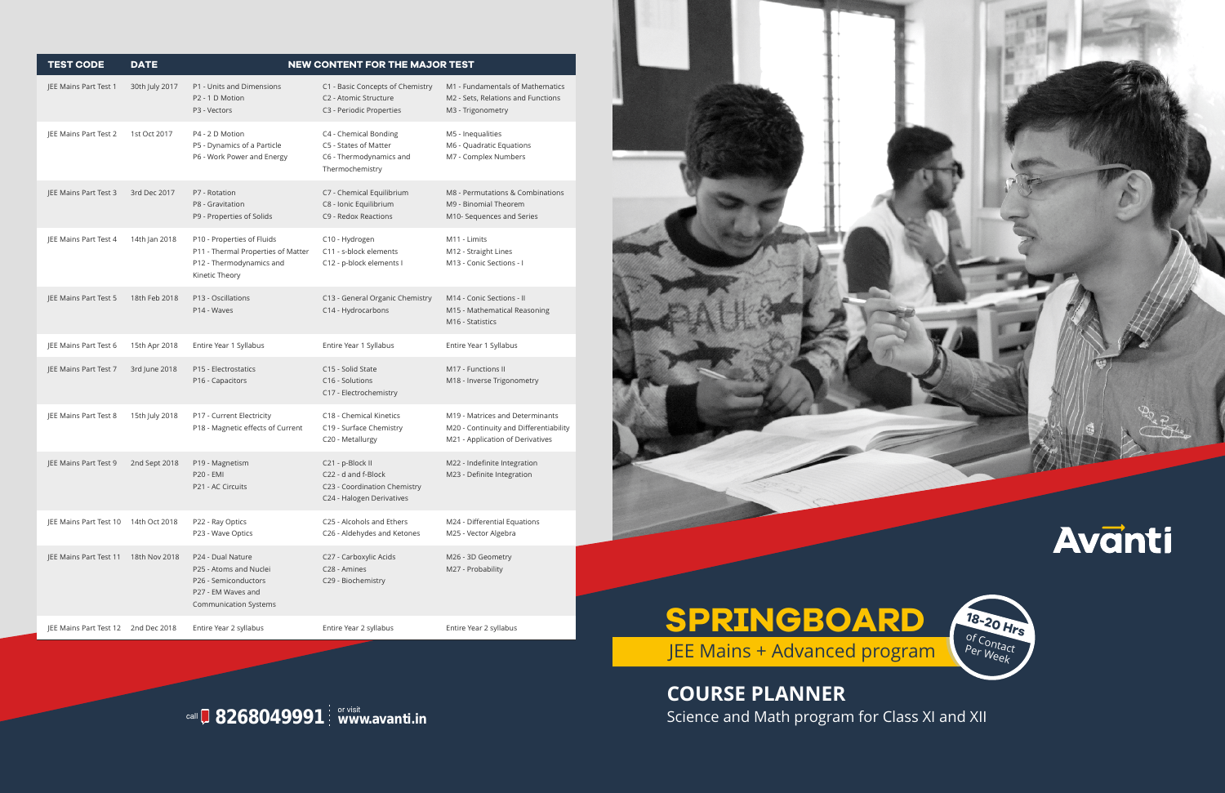## **8268049991** or visit **www.avanti.in** call

| <b>TEST CODE</b>              | <b>DATE</b>    | NEW CONTENT FOR THE MAJOR TEST                                                                                            |                                                                                                      |                                                                                                               |  |
|-------------------------------|----------------|---------------------------------------------------------------------------------------------------------------------------|------------------------------------------------------------------------------------------------------|---------------------------------------------------------------------------------------------------------------|--|
| JEE Mains Part Test 1         | 30th July 2017 | P1 - Units and Dimensions<br>P2 - 1 D Motion<br>P3 - Vectors                                                              | C1 - Basic Concepts of Chemistry<br>C2 - Atomic Structure<br>C3 - Periodic Properties                | M1 - Fundamentals of Mathematics<br>M2 - Sets, Relations and Functions<br>M3 - Trigonometry                   |  |
| JEE Mains Part Test 2         | 1st Oct 2017   | P4 - 2 D Motion<br>P5 - Dynamics of a Particle<br>P6 - Work Power and Energy                                              | C4 - Chemical Bonding<br>C5 - States of Matter<br>C6 - Thermodynamics and<br>Thermochemistry         | M5 - Inequalities<br>M6 - Quadratic Equations<br>M7 - Complex Numbers                                         |  |
| JEE Mains Part Test 3         | 3rd Dec 2017   | P7 - Rotation<br>P8 - Gravitation<br>P9 - Properties of Solids                                                            | C7 - Chemical Equilibrium<br>C8 - Ionic Equilibrium<br>C9 - Redox Reactions                          | M8 - Permutations & Combinations<br>M9 - Binomial Theorem<br>M10- Sequences and Series                        |  |
| JEE Mains Part Test 4         | 14th Jan 2018  | P10 - Properties of Fluids<br>P11 - Thermal Properties of Matter<br>P12 - Thermodynamics and<br>Kinetic Theory            | C10 - Hydrogen<br>C11 - s-block elements<br>C12 - p-block elements I                                 | M11 - Limits<br>M12 - Straight Lines<br>M13 - Conic Sections - I                                              |  |
| JEE Mains Part Test 5         | 18th Feb 2018  | P13 - Oscillations<br>P14 - Waves                                                                                         | C13 - General Organic Chemistry<br>C14 - Hydrocarbons                                                | M14 - Conic Sections - II<br>M15 - Mathematical Reasoning<br>M16 - Statistics                                 |  |
| JEE Mains Part Test 6         | 15th Apr 2018  | Entire Year 1 Syllabus                                                                                                    | Entire Year 1 Syllabus                                                                               | Entire Year 1 Syllabus                                                                                        |  |
| JEE Mains Part Test 7         | 3rd June 2018  | P15 - Electrostatics<br>P16 - Capacitors                                                                                  | C15 - Solid State<br>C16 - Solutions<br>C17 - Electrochemistry                                       | M17 - Functions II<br>M18 - Inverse Trigonometry                                                              |  |
| JEE Mains Part Test 8         | 15th July 2018 | P17 - Current Electricity<br>P18 - Magnetic effects of Current                                                            | C18 - Chemical Kinetics<br>C19 - Surface Chemistry<br>C20 - Metallurgy                               | M19 - Matrices and Determinants<br>M20 - Continuity and Differentiability<br>M21 - Application of Derivatives |  |
| JEE Mains Part Test 9         | 2nd Sept 2018  | P19 - Magnetism<br><b>P20 - EMI</b><br>P21 - AC Circuits                                                                  | C21 - p-Block II<br>C22 - d and f-Block<br>C23 - Coordination Chemistry<br>C24 - Halogen Derivatives | M22 - Indefinite Integration<br>M23 - Definite Integration                                                    |  |
| JEE Mains Part Test 10        | 14th Oct 2018  | P22 - Ray Optics<br>P23 - Wave Optics                                                                                     | C25 - Alcohols and Ethers<br>C26 - Aldehydes and Ketones                                             | M24 - Differential Equations<br>M25 - Vector Algebra                                                          |  |
| JEE Mains Part Test 11        | 18th Nov 2018  | P24 - Dual Nature<br>P25 - Atoms and Nuclei<br>P26 - Semiconductors<br>P27 - EM Waves and<br><b>Communication Systems</b> | C27 - Carboxylic Acids<br>C28 - Amines<br>C29 - Biochemistry                                         | M26 - 3D Geometry<br>M27 - Probability                                                                        |  |
| <b>IEE Mains Part Test 12</b> | 2nd Dec 2018   | Entire Year 2 syllabus                                                                                                    | Entire Year 2 syllabus                                                                               | Entire Year 2 syllabus                                                                                        |  |



**COURSE PLANNER** Science and Math program for Class XI and XII

## **SPRINGBOARD**

JEE Mains + Advanced program